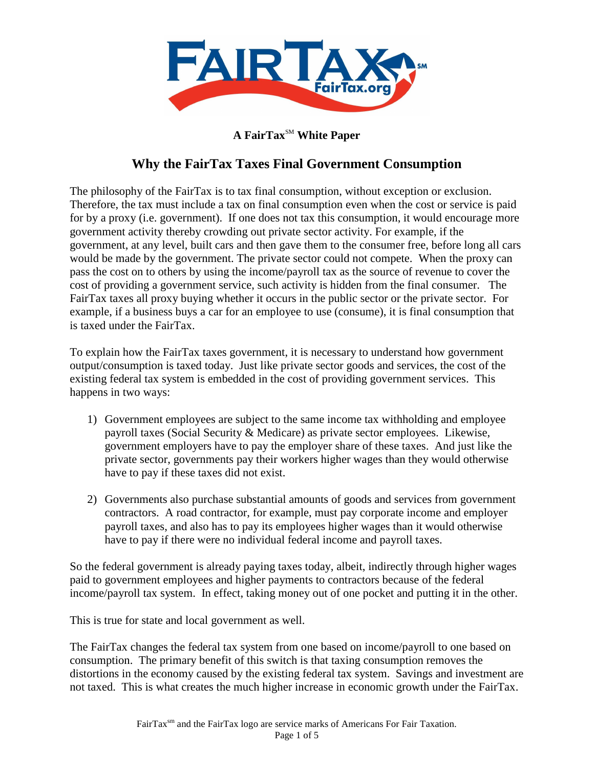

## **A FairTax<sup>SM</sup> White Paper**

# **Why the FairTax Taxes Final Government Consumption**

The philosophy of the FairTax is to tax final consumption, without exception or exclusion. Therefore, the tax must include a tax on final consumption even when the cost or service is paid for by a proxy (i.e. government). If one does not tax this consumption, it would encourage more government activity thereby crowding out private sector activity. For example, if the government, at any level, built cars and then gave them to the consumer free, before long all cars would be made by the government. The private sector could not compete. When the proxy can pass the cost on to others by using the income/payroll tax as the source of revenue to cover the cost of providing a government service, such activity is hidden from the final consumer. The FairTax taxes all proxy buying whether it occurs in the public sector or the private sector. For example, if a business buys a car for an employee to use (consume), it is final consumption that is taxed under the FairTax.

To explain how the FairTax taxes government, it is necessary to understand how government output/consumption is taxed today. Just like private sector goods and services, the cost of the existing federal tax system is embedded in the cost of providing government services. This happens in two ways:

- 1) Government employees are subject to the same income tax withholding and employee payroll taxes (Social Security & Medicare) as private sector employees. Likewise, government employers have to pay the employer share of these taxes. And just like the private sector, governments pay their workers higher wages than they would otherwise have to pay if these taxes did not exist.
- 2) Governments also purchase substantial amounts of goods and services from government contractors. A road contractor, for example, must pay corporate income and employer payroll taxes, and also has to pay its employees higher wages than it would otherwise have to pay if there were no individual federal income and payroll taxes.

So the federal government is already paying taxes today, albeit, indirectly through higher wages paid to government employees and higher payments to contractors because of the federal income/payroll tax system. In effect, taking money out of one pocket and putting it in the other.

This is true for state and local government as well.

The FairTax changes the federal tax system from one based on income/payroll to one based on consumption. The primary benefit of this switch is that taxing consumption removes the distortions in the economy caused by the existing federal tax system. Savings and investment are not taxed. This is what creates the much higher increase in economic growth under the FairTax.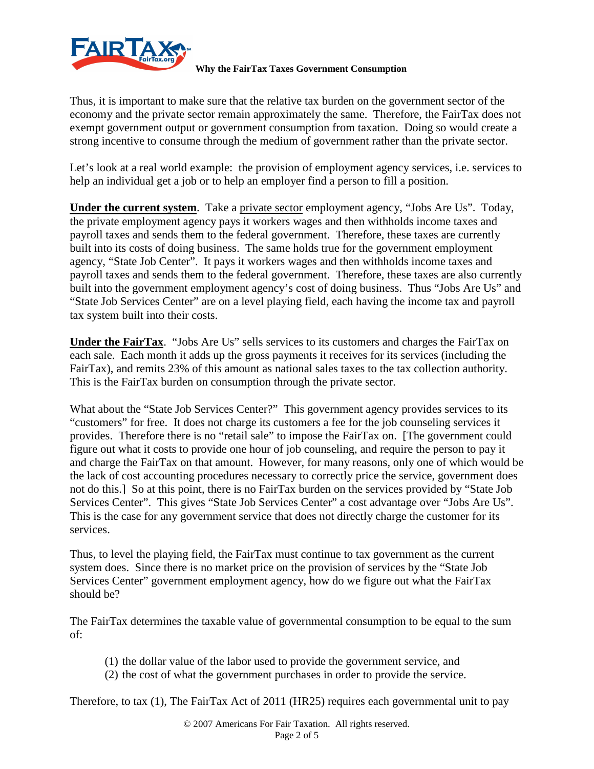

Thus, it is important to make sure that the relative tax burden on the government sector of the economy and the private sector remain approximately the same. Therefore, the FairTax does not exempt government output or government consumption from taxation. Doing so would create a strong incentive to consume through the medium of government rather than the private sector.

Let's look at a real world example: the provision of employment agency services, i.e. services to help an individual get a job or to help an employer find a person to fill a position.

**Under the current system**. Take a private sector employment agency, "Jobs Are Us". Today, the private employment agency pays it workers wages and then withholds income taxes and payroll taxes and sends them to the federal government. Therefore, these taxes are currently built into its costs of doing business. The same holds true for the government employment agency, "State Job Center". It pays it workers wages and then withholds income taxes and payroll taxes and sends them to the federal government. Therefore, these taxes are also currently built into the government employment agency's cost of doing business. Thus "Jobs Are Us" and "State Job Services Center" are on a level playing field, each having the income tax and payroll tax system built into their costs.

**Under the FairTax**. "Jobs Are Us" sells services to its customers and charges the FairTax on each sale. Each month it adds up the gross payments it receives for its services (including the FairTax), and remits 23% of this amount as national sales taxes to the tax collection authority. This is the FairTax burden on consumption through the private sector.

What about the "State Job Services Center?" This government agency provides services to its "customers" for free. It does not charge its customers a fee for the job counseling services it provides. Therefore there is no "retail sale" to impose the FairTax on. [The government could figure out what it costs to provide one hour of job counseling, and require the person to pay it and charge the FairTax on that amount. However, for many reasons, only one of which would be the lack of cost accounting procedures necessary to correctly price the service, government does not do this.] So at this point, there is no FairTax burden on the services provided by "State Job Services Center". This gives "State Job Services Center" a cost advantage over "Jobs Are Us". This is the case for any government service that does not directly charge the customer for its services.

Thus, to level the playing field, the FairTax must continue to tax government as the current system does. Since there is no market price on the provision of services by the "State Job Services Center" government employment agency, how do we figure out what the FairTax should be?

The FairTax determines the taxable value of governmental consumption to be equal to the sum of:

- (1) the dollar value of the labor used to provide the government service, and
- (2) the cost of what the government purchases in order to provide the service.

Therefore, to tax (1), The FairTax Act of 2011 (HR25) requires each governmental unit to pay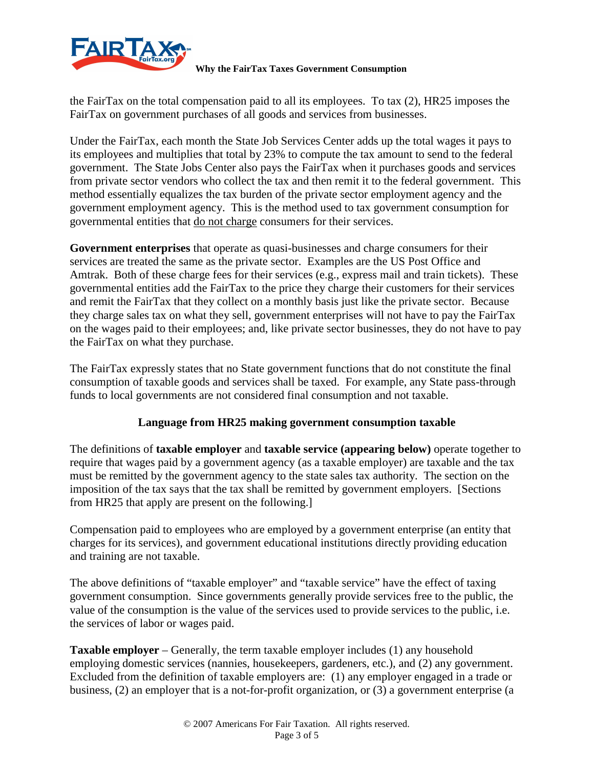

the FairTax on the total compensation paid to all its employees. To tax (2), HR25 imposes the FairTax on government purchases of all goods and services from businesses.

Under the FairTax, each month the State Job Services Center adds up the total wages it pays to its employees and multiplies that total by 23% to compute the tax amount to send to the federal government. The State Jobs Center also pays the FairTax when it purchases goods and services from private sector vendors who collect the tax and then remit it to the federal government. This method essentially equalizes the tax burden of the private sector employment agency and the government employment agency. This is the method used to tax government consumption for governmental entities that do not charge consumers for their services.

**Government enterprises** that operate as quasi-businesses and charge consumers for their services are treated the same as the private sector. Examples are the US Post Office and Amtrak. Both of these charge fees for their services (e.g., express mail and train tickets). These governmental entities add the FairTax to the price they charge their customers for their services and remit the FairTax that they collect on a monthly basis just like the private sector. Because they charge sales tax on what they sell, government enterprises will not have to pay the FairTax on the wages paid to their employees; and, like private sector businesses, they do not have to pay the FairTax on what they purchase.

The FairTax expressly states that no State government functions that do not constitute the final consumption of taxable goods and services shall be taxed. For example, any State pass-through funds to local governments are not considered final consumption and not taxable.

### **Language from HR25 making government consumption taxable**

The definitions of **taxable employer** and **taxable service (appearing below)** operate together to require that wages paid by a government agency (as a taxable employer) are taxable and the tax must be remitted by the government agency to the state sales tax authority. The section on the imposition of the tax says that the tax shall be remitted by government employers. [Sections from HR25 that apply are present on the following.]

Compensation paid to employees who are employed by a government enterprise (an entity that charges for its services), and government educational institutions directly providing education and training are not taxable.

The above definitions of "taxable employer" and "taxable service" have the effect of taxing government consumption. Since governments generally provide services free to the public, the value of the consumption is the value of the services used to provide services to the public, i.e. the services of labor or wages paid.

**Taxable employer** – Generally, the term taxable employer includes (1) any household employing domestic services (nannies, housekeepers, gardeners, etc.), and (2) any government. Excluded from the definition of taxable employers are: (1) any employer engaged in a trade or business, (2) an employer that is a not-for-profit organization, or (3) a government enterprise (a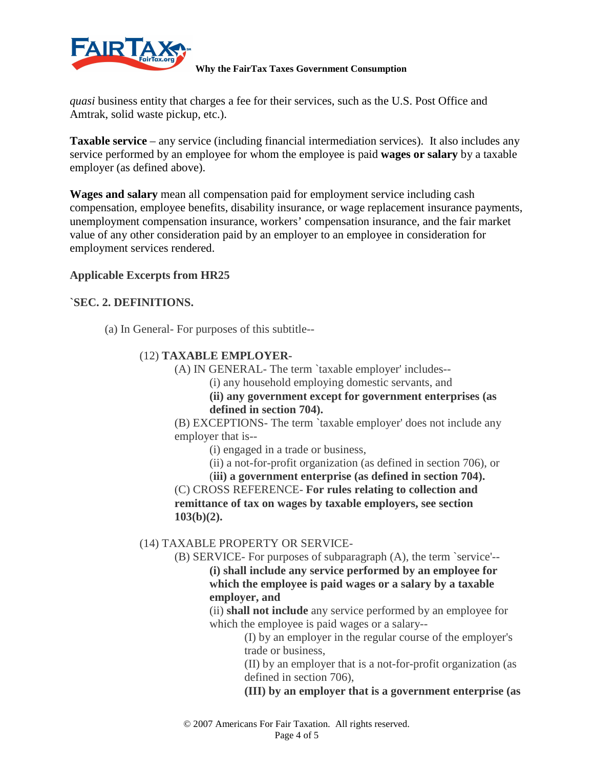

*quasi* business entity that charges a fee for their services, such as the U.S. Post Office and Amtrak, solid waste pickup, etc.).

**Taxable service** – any service (including financial intermediation services). It also includes any service performed by an employee for whom the employee is paid **wages or salary** by a taxable employer (as defined above).

**Wages and salary** mean all compensation paid for employment service including cash compensation, employee benefits, disability insurance, or wage replacement insurance payments, unemployment compensation insurance, workers' compensation insurance, and the fair market value of any other consideration paid by an employer to an employee in consideration for employment services rendered.

### **Applicable Excerpts from HR25**

### **`SEC. 2. DEFINITIONS.**

(a) In General- For purposes of this subtitle--

### (12) **TAXABLE EMPLOYER-**

- (A) IN GENERAL- The term `taxable employer' includes--
	- (i) any household employing domestic servants, and

**(ii) any government except for government enterprises (as defined in section 704).** 

(B) EXCEPTIONS- The term `taxable employer' does not include any employer that is--

(i) engaged in a trade or business,

(ii) a not-for-profit organization (as defined in section 706), or

(**iii) a government enterprise (as defined in section 704).**  (C) CROSS REFERENCE- **For rules relating to collection and remittance of tax on wages by taxable employers, see section 103(b)(2).** 

### (14) TAXABLE PROPERTY OR SERVICE-

(B) SERVICE- For purposes of subparagraph (A), the term `service'--

**(i) shall include any service performed by an employee for which the employee is paid wages or a salary by a taxable employer, and** 

(ii) **shall not include** any service performed by an employee for which the employee is paid wages or a salary--

(I) by an employer in the regular course of the employer's trade or business,

(II) by an employer that is a not-for-profit organization (as defined in section 706),

**(III) by an employer that is a government enterprise (as**